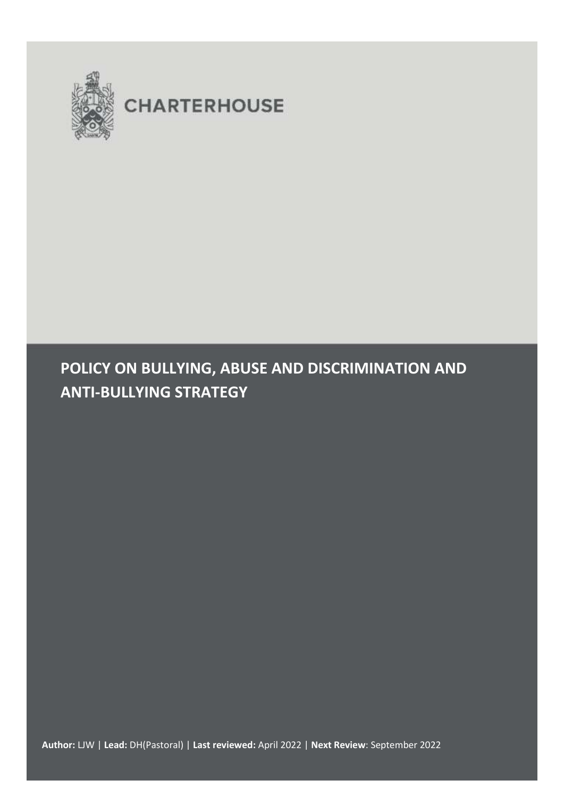

# **CHARTERHOUSE**

## **POLICY ON BULLYING, ABUSE AND DISCRIMINATION AND ANTI-BULLYING STRATEGY**

**Author:** LJW | **Lead:** DH(Pastoral) | **Last reviewed:** April 2022 | **Next Review**: September 2022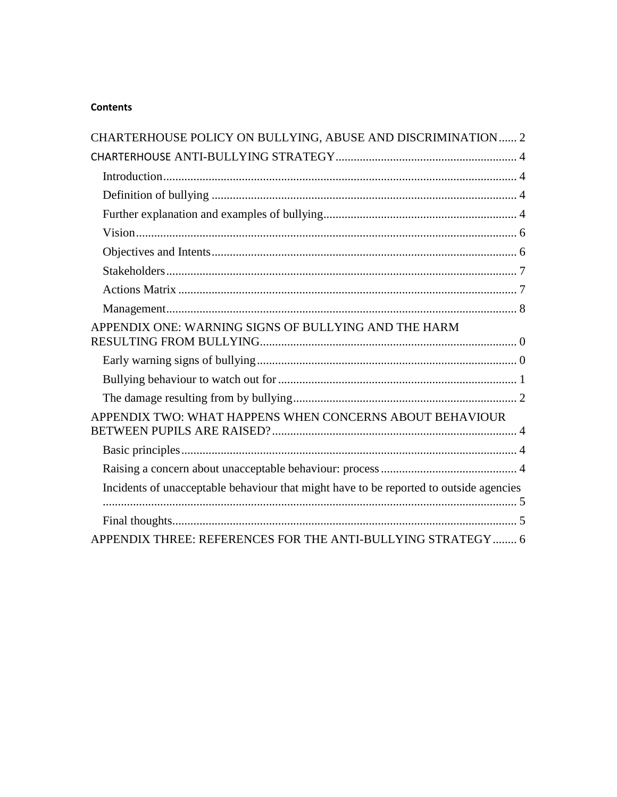## **Contents**

| CHARTERHOUSE POLICY ON BULLYING, ABUSE AND DISCRIMINATION 2                            |
|----------------------------------------------------------------------------------------|
|                                                                                        |
|                                                                                        |
|                                                                                        |
|                                                                                        |
|                                                                                        |
|                                                                                        |
|                                                                                        |
|                                                                                        |
|                                                                                        |
| APPENDIX ONE: WARNING SIGNS OF BULLYING AND THE HARM                                   |
|                                                                                        |
|                                                                                        |
|                                                                                        |
| APPENDIX TWO: WHAT HAPPENS WHEN CONCERNS ABOUT BEHAVIOUR                               |
|                                                                                        |
|                                                                                        |
| Incidents of unacceptable behaviour that might have to be reported to outside agencies |
|                                                                                        |
| APPENDIX THREE: REFERENCES FOR THE ANTI-BULLYING STRATEGY  6                           |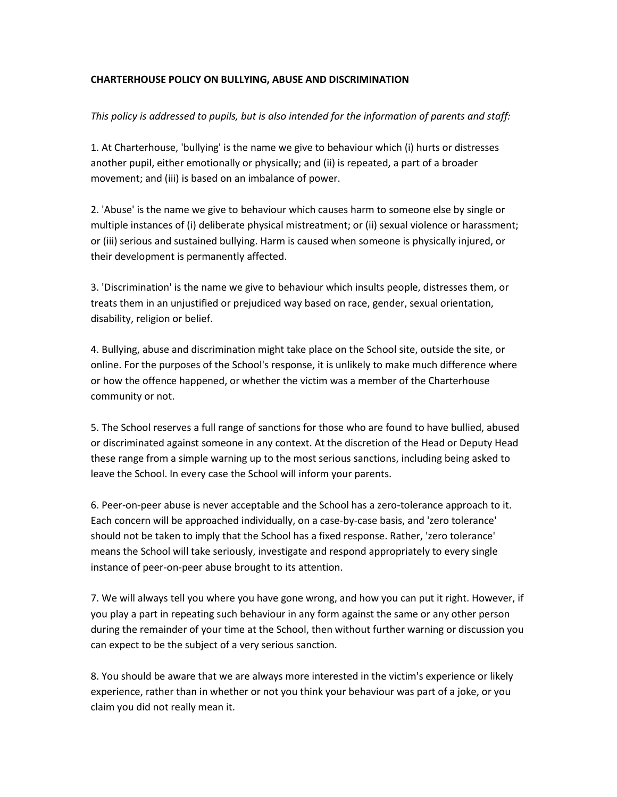#### <span id="page-2-0"></span>**CHARTERHOUSE POLICY ON BULLYING, ABUSE AND DISCRIMINATION**

#### *This policy is addressed to pupils, but is also intended for the information of parents and staff:*

1. At Charterhouse, 'bullying' is the name we give to behaviour which (i) hurts or distresses another pupil, either emotionally or physically; and (ii) is repeated, a part of a broader movement; and (iii) is based on an imbalance of power.

2. 'Abuse' is the name we give to behaviour which causes harm to someone else by single or multiple instances of (i) deliberate physical mistreatment; or (ii) sexual violence or harassment; or (iii) serious and sustained bullying. Harm is caused when someone is physically injured, or their development is permanently affected.

3. 'Discrimination' is the name we give to behaviour which insults people, distresses them, or treats them in an unjustified or prejudiced way based on race, gender, sexual orientation, disability, religion or belief.

4. Bullying, abuse and discrimination might take place on the School site, outside the site, or online. For the purposes of the School's response, it is unlikely to make much difference where or how the offence happened, or whether the victim was a member of the Charterhouse community or not.

5. The School reserves a full range of sanctions for those who are found to have bullied, abused or discriminated against someone in any context. At the discretion of the Head or Deputy Head these range from a simple warning up to the most serious sanctions, including being asked to leave the School. In every case the School will inform your parents.

6. Peer-on-peer abuse is never acceptable and the School has a zero-tolerance approach to it. Each concern will be approached individually, on a case-by-case basis, and 'zero tolerance' should not be taken to imply that the School has a fixed response. Rather, 'zero tolerance' means the School will take seriously, investigate and respond appropriately to every single instance of peer-on-peer abuse brought to its attention.

7. We will always tell you where you have gone wrong, and how you can put it right. However, if you play a part in repeating such behaviour in any form against the same or any other person during the remainder of your time at the School, then without further warning or discussion you can expect to be the subject of a very serious sanction.

8. You should be aware that we are always more interested in the victim's experience or likely experience, rather than in whether or not you think your behaviour was part of a joke, or you claim you did not really mean it.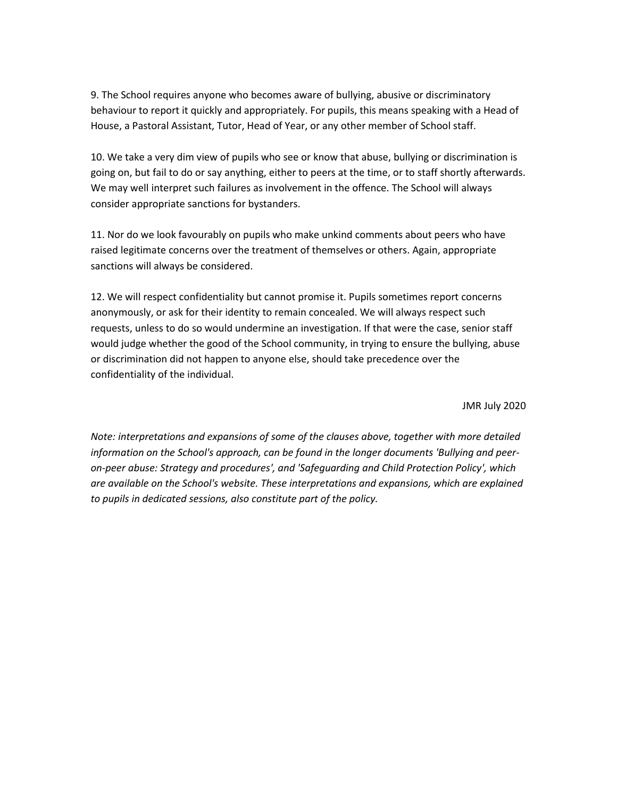9. The School requires anyone who becomes aware of bullying, abusive or discriminatory behaviour to report it quickly and appropriately. For pupils, this means speaking with a Head of House, a Pastoral Assistant, Tutor, Head of Year, or any other member of School staff.

10. We take a very dim view of pupils who see or know that abuse, bullying or discrimination is going on, but fail to do or say anything, either to peers at the time, or to staff shortly afterwards. We may well interpret such failures as involvement in the offence. The School will always consider appropriate sanctions for bystanders.

11. Nor do we look favourably on pupils who make unkind comments about peers who have raised legitimate concerns over the treatment of themselves or others. Again, appropriate sanctions will always be considered.

12. We will respect confidentiality but cannot promise it. Pupils sometimes report concerns anonymously, or ask for their identity to remain concealed. We will always respect such requests, unless to do so would undermine an investigation. If that were the case, senior staff would judge whether the good of the School community, in trying to ensure the bullying, abuse or discrimination did not happen to anyone else, should take precedence over the confidentiality of the individual.

JMR July 2020

*Note: interpretations and expansions of some of the clauses above, together with more detailed information on the School's approach, can be found in the longer documents 'Bullying and peeron-peer abuse: Strategy and procedures', and 'Safeguarding and Child Protection Policy', which are available on the School's website. These interpretations and expansions, which are explained to pupils in dedicated sessions, also constitute part of the policy.*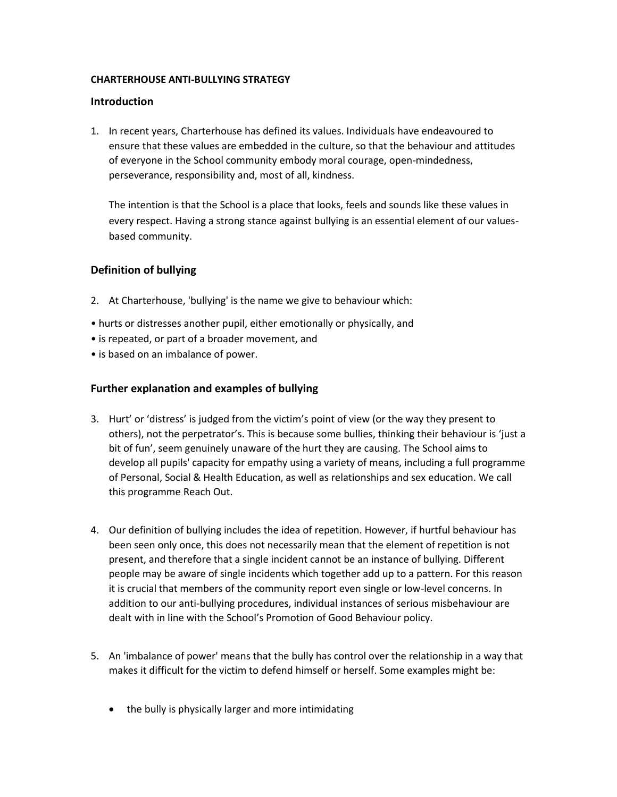#### <span id="page-4-0"></span>**CHARTERHOUSE ANTI-BULLYING STRATEGY**

#### <span id="page-4-1"></span>**Introduction**

1. In recent years, Charterhouse has defined its values. Individuals have endeavoured to ensure that these values are embedded in the culture, so that the behaviour and attitudes of everyone in the School community embody moral courage, open-mindedness, perseverance, responsibility and, most of all, kindness.

The intention is that the School is a place that looks, feels and sounds like these values in every respect. Having a strong stance against bullying is an essential element of our valuesbased community.

## <span id="page-4-2"></span>**Definition of bullying**

- 2. At Charterhouse, 'bullying' is the name we give to behaviour which:
- hurts or distresses another pupil, either emotionally or physically, and
- is repeated, or part of a broader movement, and
- is based on an imbalance of power.

## <span id="page-4-3"></span>**Further explanation and examples of bullying**

- 3. Hurt' or 'distress' is judged from the victim's point of view (or the way they present to others), not the perpetrator's. This is because some bullies, thinking their behaviour is 'just a bit of fun', seem genuinely unaware of the hurt they are causing. The School aims to develop all pupils' capacity for empathy using a variety of means, including a full programme of Personal, Social & Health Education, as well as relationships and sex education. We call this programme Reach Out.
- 4. Our definition of bullying includes the idea of repetition. However, if hurtful behaviour has been seen only once, this does not necessarily mean that the element of repetition is not present, and therefore that a single incident cannot be an instance of bullying. Different people may be aware of single incidents which together add up to a pattern. For this reason it is crucial that members of the community report even single or low-level concerns. In addition to our anti-bullying procedures, individual instances of serious misbehaviour are dealt with in line with the School's Promotion of Good Behaviour policy.
- 5. An 'imbalance of power' means that the bully has control over the relationship in a way that makes it difficult for the victim to defend himself or herself. Some examples might be:
	- the bully is physically larger and more intimidating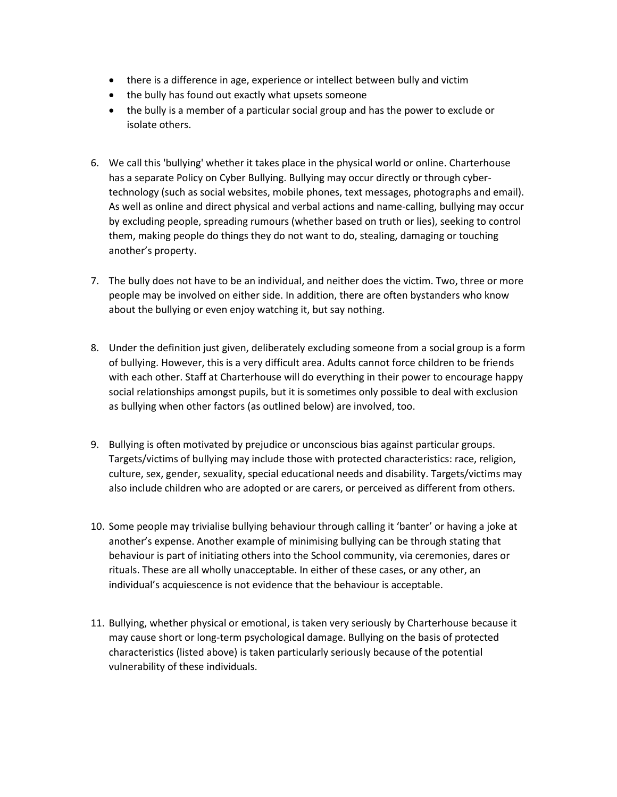- there is a difference in age, experience or intellect between bully and victim
- the bully has found out exactly what upsets someone
- the bully is a member of a particular social group and has the power to exclude or isolate others.
- 6. We call this 'bullying' whether it takes place in the physical world or online. Charterhouse has a separate Policy on Cyber Bullying. Bullying may occur directly or through cybertechnology (such as social websites, mobile phones, text messages, photographs and email). As well as online and direct physical and verbal actions and name-calling, bullying may occur by excluding people, spreading rumours (whether based on truth or lies), seeking to control them, making people do things they do not want to do, stealing, damaging or touching another's property.
- 7. The bully does not have to be an individual, and neither does the victim. Two, three or more people may be involved on either side. In addition, there are often bystanders who know about the bullying or even enjoy watching it, but say nothing.
- 8. Under the definition just given, deliberately excluding someone from a social group is a form of bullying. However, this is a very difficult area. Adults cannot force children to be friends with each other. Staff at Charterhouse will do everything in their power to encourage happy social relationships amongst pupils, but it is sometimes only possible to deal with exclusion as bullying when other factors (as outlined below) are involved, too.
- 9. Bullying is often motivated by prejudice or unconscious bias against particular groups. Targets/victims of bullying may include those with protected characteristics: race, religion, culture, sex, gender, sexuality, special educational needs and disability. Targets/victims may also include children who are adopted or are carers, or perceived as different from others.
- 10. Some people may trivialise bullying behaviour through calling it 'banter' or having a joke at another's expense. Another example of minimising bullying can be through stating that behaviour is part of initiating others into the School community, via ceremonies, dares or rituals. These are all wholly unacceptable. In either of these cases, or any other, an individual's acquiescence is not evidence that the behaviour is acceptable.
- 11. Bullying, whether physical or emotional, is taken very seriously by Charterhouse because it may cause short or long-term psychological damage. Bullying on the basis of protected characteristics (listed above) is taken particularly seriously because of the potential vulnerability of these individuals.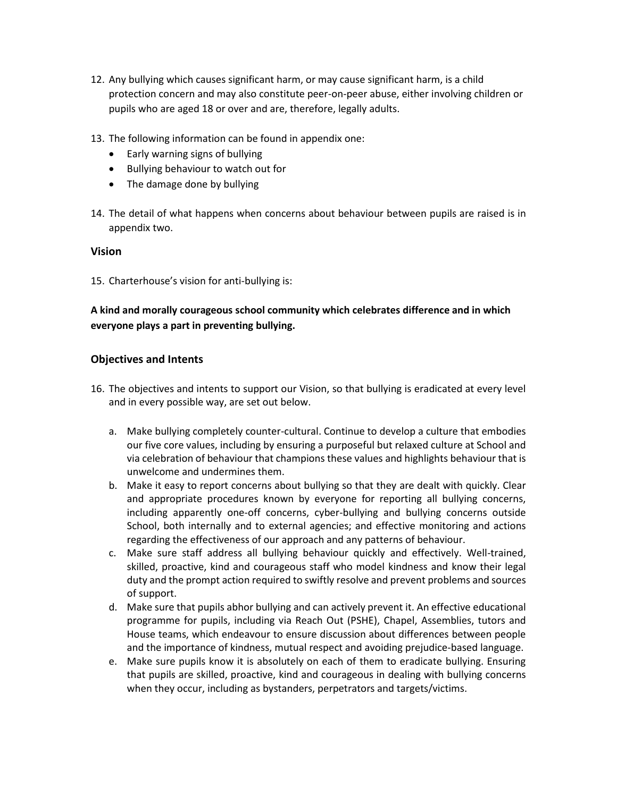- 12. Any bullying which causes significant harm, or may cause significant harm, is a child protection concern and may also constitute peer-on-peer abuse, either involving children or pupils who are aged 18 or over and are, therefore, legally adults.
- 13. The following information can be found in appendix one:
	- Early warning signs of bullying
	- Bullying behaviour to watch out for
	- The damage done by bullying
- 14. The detail of what happens when concerns about behaviour between pupils are raised is in appendix two.

#### <span id="page-6-0"></span>**Vision**

15. Charterhouse's vision for anti-bullying is:

## **A kind and morally courageous school community which celebrates difference and in which everyone plays a part in preventing bullying.**

#### <span id="page-6-1"></span>**Objectives and Intents**

- 16. The objectives and intents to support our Vision, so that bullying is eradicated at every level and in every possible way, are set out below.
	- a. Make bullying completely counter-cultural. Continue to develop a culture that embodies our five core values, including by ensuring a purposeful but relaxed culture at School and via celebration of behaviour that champions these values and highlights behaviour that is unwelcome and undermines them.
	- b. Make it easy to report concerns about bullying so that they are dealt with quickly. Clear and appropriate procedures known by everyone for reporting all bullying concerns, including apparently one-off concerns, cyber-bullying and bullying concerns outside School, both internally and to external agencies; and effective monitoring and actions regarding the effectiveness of our approach and any patterns of behaviour.
	- c. Make sure staff address all bullying behaviour quickly and effectively. Well-trained, skilled, proactive, kind and courageous staff who model kindness and know their legal duty and the prompt action required to swiftly resolve and prevent problems and sources of support.
	- d. Make sure that pupils abhor bullying and can actively prevent it. An effective educational programme for pupils, including via Reach Out (PSHE), Chapel, Assemblies, tutors and House teams, which endeavour to ensure discussion about differences between people and the importance of kindness, mutual respect and avoiding prejudice-based language.
	- e. Make sure pupils know it is absolutely on each of them to eradicate bullying. Ensuring that pupils are skilled, proactive, kind and courageous in dealing with bullying concerns when they occur, including as bystanders, perpetrators and targets/victims.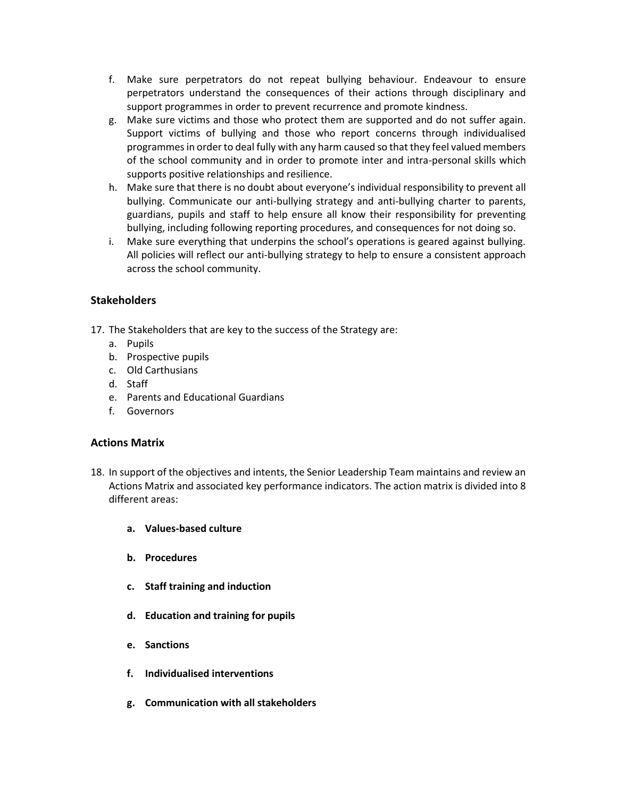- f. Make sure perpetrators do not repeat bullying behaviour. Endeavour to ensure perpetrators understand the consequences of their actions through disciplinary and support programmes in order to prevent recurrence and promote kindness.
- g. Make sure victims and those who protect them are supported and do not suffer again. Support victims of bullying and those who report concerns through individualised programmes in order to deal fully with any harm caused so that they feel valued members of the school community and in order to promote inter and intra-personal skills which supports positive relationships and resilience.
- h. Make sure that there is no doubt about everyone's individual responsibility to prevent all bullying. Communicate our anti-bullying strategy and anti-bullying charter to parents, guardians, pupils and staff to help ensure all know their responsibility for preventing bullying, including following reporting procedures, and consequences for not doing so.
- i. Make sure everything that underpins the school's operations is geared against bullying. All policies will reflect our anti-bullying strategy to help to ensure a consistent approach across the school community.

## <span id="page-7-0"></span>**Stakeholders**

- 17. The Stakeholders that are key to the success of the Strategy are:
	- a. Pupils
	- b. Prospective pupils
	- c. Old Carthusians
	- d. Staff
	- e. Parents and Educational Guardians
	- f. Governors

#### <span id="page-7-1"></span>**Actions Matrix**

- 18. In support of the objectives and intents, the Senior Leadership Team maintains and review an Actions Matrix and associated key performance indicators. The action matrix is divided into 8 different areas:
	- **a. Values-based culture**
	- **b. Procedures**
	- **c. Staff training and induction**
	- **d. Education and training for pupils**
	- **e. Sanctions**
	- **f. Individualised interventions**
	- **g. Communication with all stakeholders**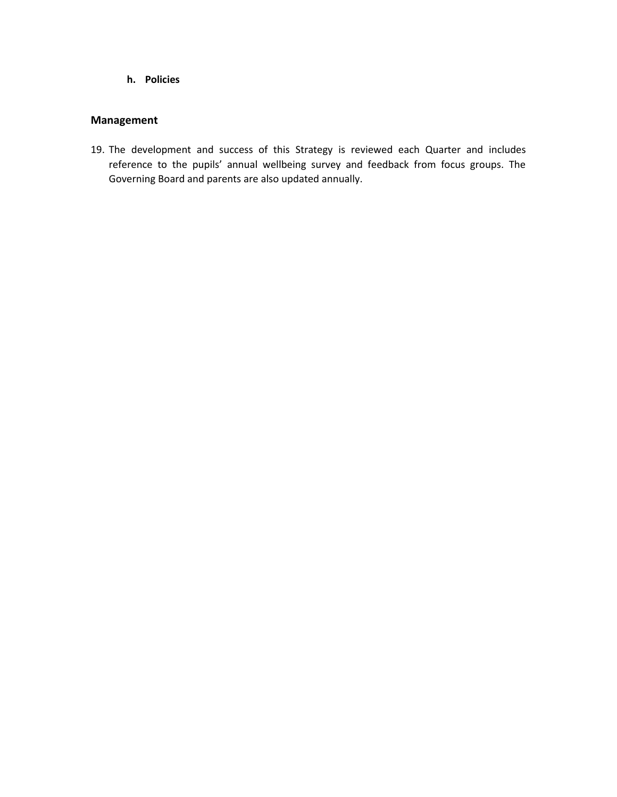**h. Policies**

## <span id="page-8-0"></span>**Management**

19. The development and success of this Strategy is reviewed each Quarter and includes reference to the pupils' annual wellbeing survey and feedback from focus groups. The Governing Board and parents are also updated annually.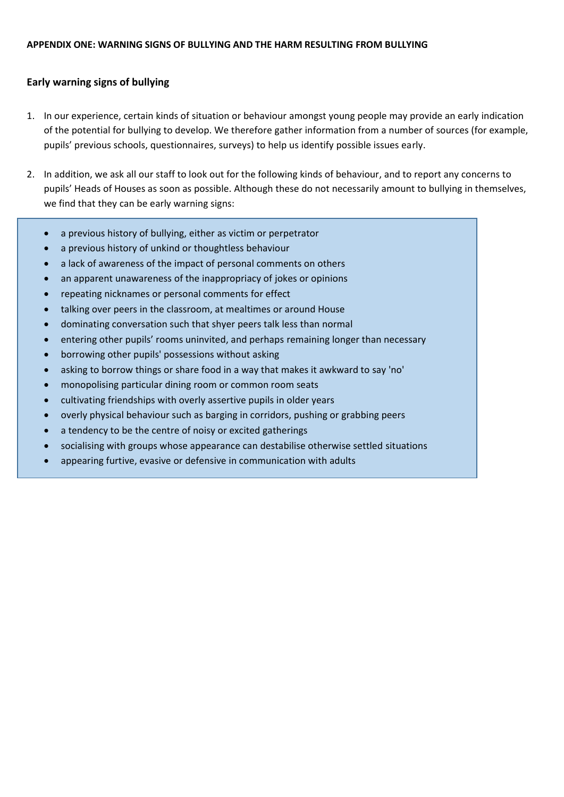## <span id="page-9-1"></span><span id="page-9-0"></span>**Early warning signs of bullying**

- 1. In our experience, certain kinds of situation or behaviour amongst young people may provide an early indication of the potential for bullying to develop. We therefore gather information from a number of sources (for example, pupils' previous schools, questionnaires, surveys) to help us identify possible issues early.
- 2. In addition, we ask all our staff to look out for the following kinds of behaviour, and to report any concerns to pupils' Heads of Houses as soon as possible. Although these do not necessarily amount to bullying in themselves, we find that they can be early warning signs:
	- a previous history of bullying, either as victim or perpetrator
	- a previous history of unkind or thoughtless behaviour
	- a lack of awareness of the impact of personal comments on others
	- an apparent unawareness of the inappropriacy of jokes or opinions
	- repeating nicknames or personal comments for effect
	- talking over peers in the classroom, at mealtimes or around House
	- dominating conversation such that shyer peers talk less than normal
	- entering other pupils' rooms uninvited, and perhaps remaining longer than necessary
	- borrowing other pupils' possessions without asking
	- asking to borrow things or share food in a way that makes it awkward to say 'no'
	- monopolising particular dining room or common room seats
	- cultivating friendships with overly assertive pupils in older years
	- overly physical behaviour such as barging in corridors, pushing or grabbing peers
	- a tendency to be the centre of noisy or excited gatherings
	- socialising with groups whose appearance can destabilise otherwise settled situations
	- appearing furtive, evasive or defensive in communication with adults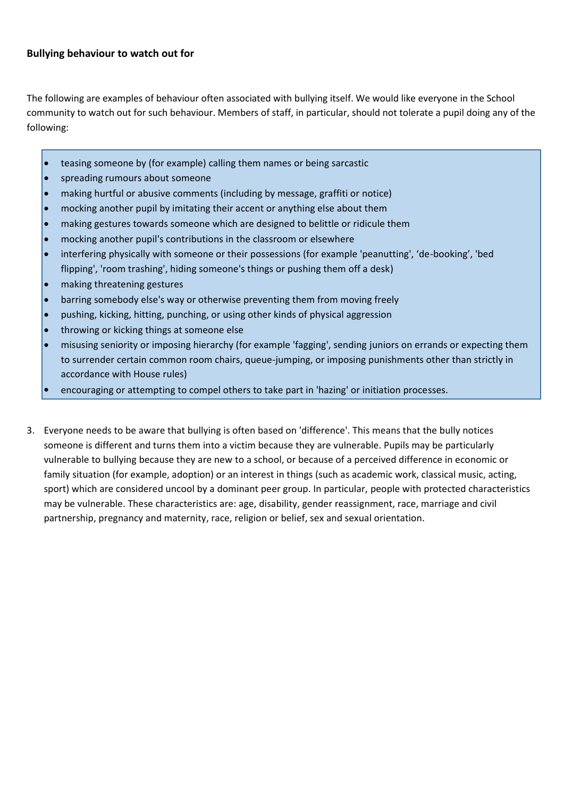## <span id="page-10-0"></span>**Bullying behaviour to watch out for**

The following are examples of behaviour often associated with bullying itself. We would like everyone in the School community to watch out for such behaviour. Members of staff, in particular, should not tolerate a pupil doing any of the following:

- teasing someone by (for example) calling them names or being sarcastic
- spreading rumours about someone
- making hurtful or abusive comments (including by message, graffiti or notice)
- mocking another pupil by imitating their accent or anything else about them
- making gestures towards someone which are designed to belittle or ridicule them
- mocking another pupil's contributions in the classroom or elsewhere
- interfering physically with someone or their possessions (for example 'peanutting', 'de-booking', 'bed flipping', 'room trashing', hiding someone's things or pushing them off a desk)
- making threatening gestures
- barring somebody else's way or otherwise preventing them from moving freely
- pushing, kicking, hitting, punching, or using other kinds of physical aggression
- throwing or kicking things at someone else
- misusing seniority or imposing hierarchy (for example 'fagging', sending juniors on errands or expecting them to surrender certain common room chairs, queue-jumping, or imposing punishments other than strictly in accordance with House rules)
- encouraging or attempting to compel others to take part in 'hazing' or initiation processes.
- 3. Everyone needs to be aware that bullying is often based on 'difference'. This means that the bully notices someone is different and turns them into a victim because they are vulnerable. Pupils may be particularly vulnerable to bullying because they are new to a school, or because of a perceived difference in economic or family situation (for example, adoption) or an interest in things (such as academic work, classical music, acting, sport) which are considered uncool by a dominant peer group. In particular, people with protected characteristics may be vulnerable. These characteristics are: age, disability, gender reassignment, race, marriage and civil partnership, pregnancy and maternity, race, religion or belief, sex and sexual orientation.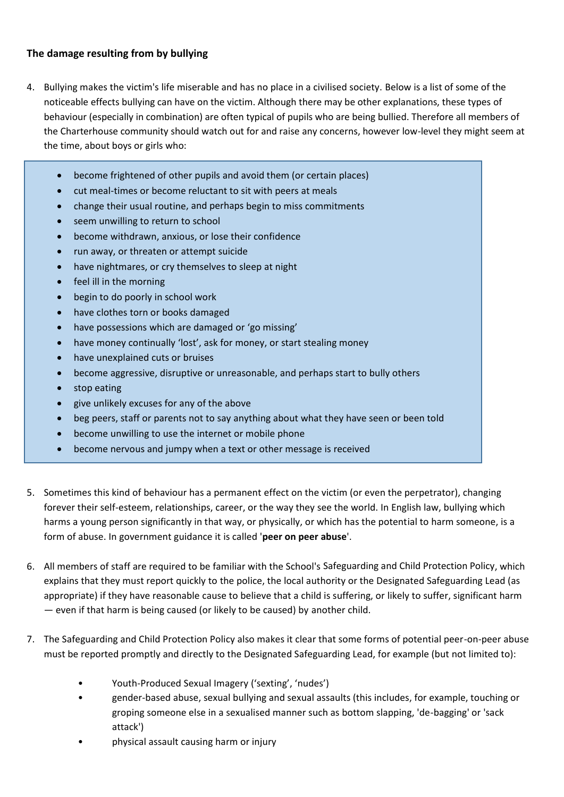## <span id="page-11-0"></span>**The damage resulting from by bullying**

- 4. Bullying makes the victim's life miserable and has no place in a civilised society. Below is a list of some of the noticeable effects bullying can have on the victim. Although there may be other explanations, these types of behaviour (especially in combination) are often typical of pupils who are being bullied. Therefore all members of the Charterhouse community should watch out for and raise any concerns, however low-level they might seem at the time, about boys or girls who:
	- become frightened of other pupils and avoid them (or certain places)
	- cut meal-times or become reluctant to sit with peers at meals
	- change their usual routine, and perhaps begin to miss commitments
	- seem unwilling to return to school
	- become withdrawn, anxious, or lose their confidence
	- run away, or threaten or attempt suicide
	- have nightmares, or cry themselves to sleep at night
	- feel ill in the morning
	- begin to do poorly in school work
	- have clothes torn or books damaged
	- have possessions which are damaged or 'go missing'
	- have money continually 'lost', ask for money, or start stealing money
	- have unexplained cuts or bruises
	- become aggressive, disruptive or unreasonable, and perhaps start to bully others
	- stop eating
	- give unlikely excuses for any of the above
	- beg peers, staff or parents not to say anything about what they have seen or been told
	- become unwilling to use the internet or mobile phone
	- become nervous and jumpy when a text or other message is received
- 5. Sometimes this kind of behaviour has a permanent effect on the victim (or even the perpetrator), changing forever their self-esteem, relationships, career, or the way they see the world. In English law, bullying which harms a young person significantly in that way, or physically, or which has the potential to harm someone, is a form of abuse. In government guidance it is called '**peer on peer abuse**'.
- 6. All members of staff are required to be familiar with the School's Safeguarding and Child Protection Policy, which explains that they must report quickly to the police, the local authority or the Designated Safeguarding Lead (as appropriate) if they have reasonable cause to believe that a child is suffering, or likely to suffer, significant harm — even if that harm is being caused (or likely to be caused) by another child.
- 7. The Safeguarding and Child Protection Policy also makes it clear that some forms of potential peer-on-peer abuse must be reported promptly and directly to the Designated Safeguarding Lead, for example (but not limited to):
	- Youth-Produced Sexual Imagery ('sexting', 'nudes')
	- gender-based abuse, sexual bullying and sexual assaults (this includes, for example, touching or groping someone else in a sexualised manner such as bottom slapping, 'de-bagging' or 'sack attack')
	- physical assault causing harm or injury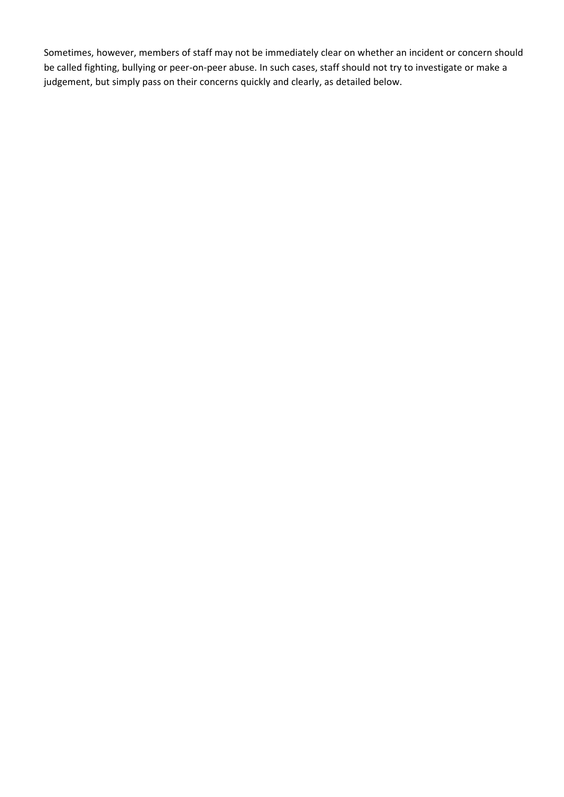Sometimes, however, members of staff may not be immediately clear on whether an incident or concern should be called fighting, bullying or peer-on-peer abuse. In such cases, staff should not try to investigate or make a judgement, but simply pass on their concerns quickly and clearly, as detailed below.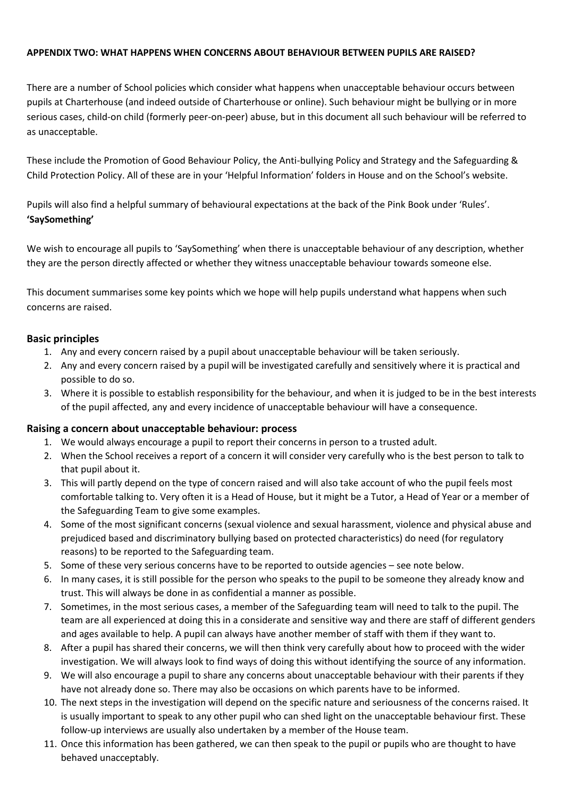#### <span id="page-13-0"></span>**APPENDIX TWO: WHAT HAPPENS WHEN CONCERNS ABOUT BEHAVIOUR BETWEEN PUPILS ARE RAISED?**

There are a number of School policies which consider what happens when unacceptable behaviour occurs between pupils at Charterhouse (and indeed outside of Charterhouse or online). Such behaviour might be bullying or in more serious cases, child-on child (formerly peer-on-peer) abuse, but in this document all such behaviour will be referred to as unacceptable.

These include the Promotion of Good Behaviour Policy, the Anti-bullying Policy and Strategy and the Safeguarding & Child Protection Policy. All of these are in your 'Helpful Information' folders in House and on the School's website.

Pupils will also find a helpful summary of behavioural expectations at the back of the Pink Book under 'Rules'. **'SaySomething'**

We wish to encourage all pupils to 'SaySomething' when there is unacceptable behaviour of any description, whether they are the person directly affected or whether they witness unacceptable behaviour towards someone else.

<span id="page-13-1"></span>This document summarises some key points which we hope will help pupils understand what happens when such concerns are raised.

## **Basic principles**

- 1. Any and every concern raised by a pupil about unacceptable behaviour will be taken seriously.
- 2. Any and every concern raised by a pupil will be investigated carefully and sensitively where it is practical and possible to do so.
- <span id="page-13-2"></span>3. Where it is possible to establish responsibility for the behaviour, and when it is judged to be in the best interests of the pupil affected, any and every incidence of unacceptable behaviour will have a consequence.

## **Raising a concern about unacceptable behaviour: process**

- 1. We would always encourage a pupil to report their concerns in person to a trusted adult.
- 2. When the School receives a report of a concern it will consider very carefully who is the best person to talk to that pupil about it.
- 3. This will partly depend on the type of concern raised and will also take account of who the pupil feels most comfortable talking to. Very often it is a Head of House, but it might be a Tutor, a Head of Year or a member of the Safeguarding Team to give some examples.
- 4. Some of the most significant concerns (sexual violence and sexual harassment, violence and physical abuse and prejudiced based and discriminatory bullying based on protected characteristics) do need (for regulatory reasons) to be reported to the Safeguarding team.
- 5. Some of these very serious concerns have to be reported to outside agencies see note below.
- 6. In many cases, it is still possible for the person who speaks to the pupil to be someone they already know and trust. This will always be done in as confidential a manner as possible.
- 7. Sometimes, in the most serious cases, a member of the Safeguarding team will need to talk to the pupil. The team are all experienced at doing this in a considerate and sensitive way and there are staff of different genders and ages available to help. A pupil can always have another member of staff with them if they want to.
- 8. After a pupil has shared their concerns, we will then think very carefully about how to proceed with the wider investigation. We will always look to find ways of doing this without identifying the source of any information.
- 9. We will also encourage a pupil to share any concerns about unacceptable behaviour with their parents if they have not already done so. There may also be occasions on which parents have to be informed.
- 10. The next steps in the investigation will depend on the specific nature and seriousness of the concerns raised. It is usually important to speak to any other pupil who can shed light on the unacceptable behaviour first. These follow-up interviews are usually also undertaken by a member of the House team.
- 11. Once this information has been gathered, we can then speak to the pupil or pupils who are thought to have behaved unacceptably.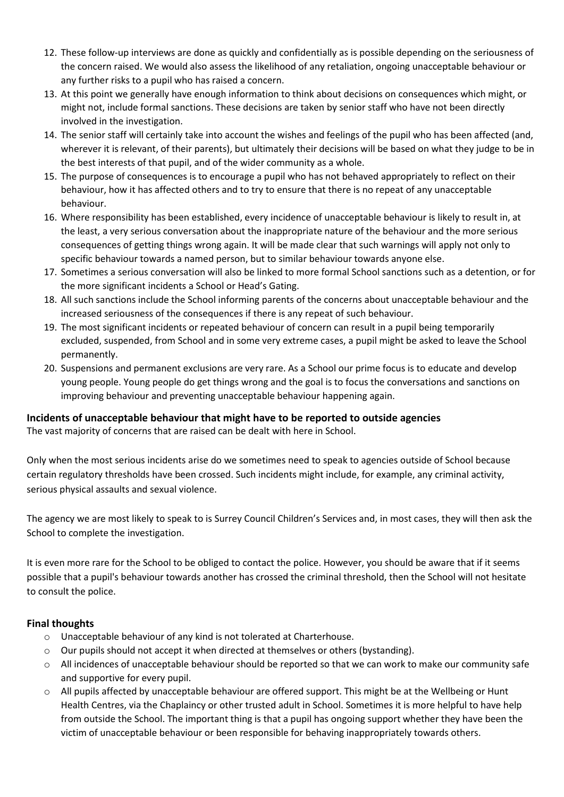- 12. These follow-up interviews are done as quickly and confidentially as is possible depending on the seriousness of the concern raised. We would also assess the likelihood of any retaliation, ongoing unacceptable behaviour or any further risks to a pupil who has raised a concern.
- 13. At this point we generally have enough information to think about decisions on consequences which might, or might not, include formal sanctions. These decisions are taken by senior staff who have not been directly involved in the investigation.
- 14. The senior staff will certainly take into account the wishes and feelings of the pupil who has been affected (and, wherever it is relevant, of their parents), but ultimately their decisions will be based on what they judge to be in the best interests of that pupil, and of the wider community as a whole.
- 15. The purpose of consequences is to encourage a pupil who has not behaved appropriately to reflect on their behaviour, how it has affected others and to try to ensure that there is no repeat of any unacceptable behaviour.
- 16. Where responsibility has been established, every incidence of unacceptable behaviour is likely to result in, at the least, a very serious conversation about the inappropriate nature of the behaviour and the more serious consequences of getting things wrong again. It will be made clear that such warnings will apply not only to specific behaviour towards a named person, but to similar behaviour towards anyone else.
- 17. Sometimes a serious conversation will also be linked to more formal School sanctions such as a detention, or for the more significant incidents a School or Head's Gating.
- 18. All such sanctions include the School informing parents of the concerns about unacceptable behaviour and the increased seriousness of the consequences if there is any repeat of such behaviour.
- 19. The most significant incidents or repeated behaviour of concern can result in a pupil being temporarily excluded, suspended, from School and in some very extreme cases, a pupil might be asked to leave the School permanently.
- <span id="page-14-0"></span>20. Suspensions and permanent exclusions are very rare. As a School our prime focus is to educate and develop young people. Young people do get things wrong and the goal is to focus the conversations and sanctions on improving behaviour and preventing unacceptable behaviour happening again.

## **Incidents of unacceptable behaviour that might have to be reported to outside agencies**

The vast majority of concerns that are raised can be dealt with here in School.

Only when the most serious incidents arise do we sometimes need to speak to agencies outside of School because certain regulatory thresholds have been crossed. Such incidents might include, for example, any criminal activity, serious physical assaults and sexual violence.

The agency we are most likely to speak to is Surrey Council Children's Services and, in most cases, they will then ask the School to complete the investigation.

<span id="page-14-1"></span>It is even more rare for the School to be obliged to contact the police. However, you should be aware that if it seems possible that a pupil's behaviour towards another has crossed the criminal threshold, then the School will not hesitate to consult the police.

## **Final thoughts**

- o Unacceptable behaviour of any kind is not tolerated at Charterhouse.
- $\circ$  Our pupils should not accept it when directed at themselves or others (bystanding).
- o All incidences of unacceptable behaviour should be reported so that we can work to make our community safe and supportive for every pupil.
- o All pupils affected by unacceptable behaviour are offered support. This might be at the Wellbeing or Hunt Health Centres, via the Chaplaincy or other trusted adult in School. Sometimes it is more helpful to have help from outside the School. The important thing is that a pupil has ongoing support whether they have been the victim of unacceptable behaviour or been responsible for behaving inappropriately towards others.